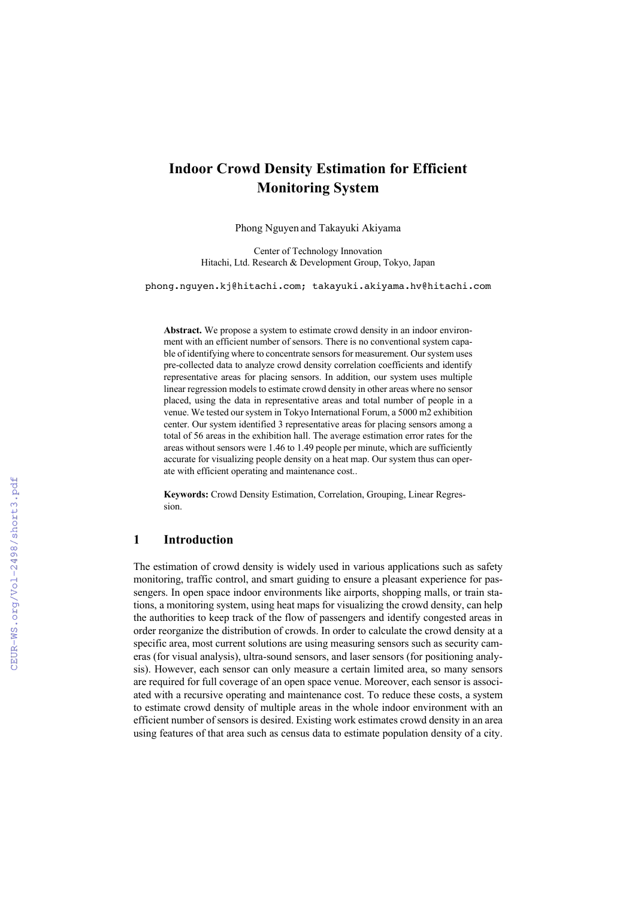# **Indoor Crowd Density Estimation for Efficient Monitoring System**

Phong Nguyen and Takayuki Akiyama

Center of Technology Innovation Hitachi, Ltd. Research & Development Group, Tokyo, Japan

phong.nguyen.kj@hitachi.com; takayuki.akiyama.hv@hitachi.com

**Abstract.** We propose a system to estimate crowd density in an indoor environment with an efficient number of sensors. There is no conventional system capable of identifying where to concentrate sensors for measurement. Our system uses pre-collected data to analyze crowd density correlation coefficients and identify representative areas for placing sensors. In addition, our system uses multiple linear regression models to estimate crowd density in other areas where no sensor placed, using the data in representative areas and total number of people in a venue. We tested our system in Tokyo International Forum, a 5000 m2 exhibition center. Our system identified 3 representative areas for placing sensors among a total of 56 areas in the exhibition hall. The average estimation error rates for the areas without sensors were 1.46 to 1.49 people per minute, which are sufficiently accurate for visualizing people density on a heat map. Our system thus can operate with efficient operating and maintenance cost..

**Keywords:** Crowd Density Estimation, Correlation, Grouping, Linear Regression.

## **1 Introduction**

The estimation of crowd density is widely used in various applications such as safety monitoring, traffic control, and smart guiding to ensure a pleasant experience for passengers. In open space indoor environments like airports, shopping malls, or train stations, a monitoring system, using heat maps for visualizing the crowd density, can help the authorities to keep track of the flow of passengers and identify congested areas in order reorganize the distribution of crowds. In order to calculate the crowd density at a specific area, most current solutions are using measuring sensors such as security cameras (for visual analysis), ultra-sound sensors, and laser sensors (for positioning analysis). However, each sensor can only measure a certain limited area, so many sensors are required for full coverage of an open space venue. Moreover, each sensor is associated with a recursive operating and maintenance cost. To reduce these costs, a system to estimate crowd density of multiple areas in the whole indoor environment with an efficient number of sensors is desired. Existing work estimates crowd density in an area using features of that area such as census data to estimate population density of a city.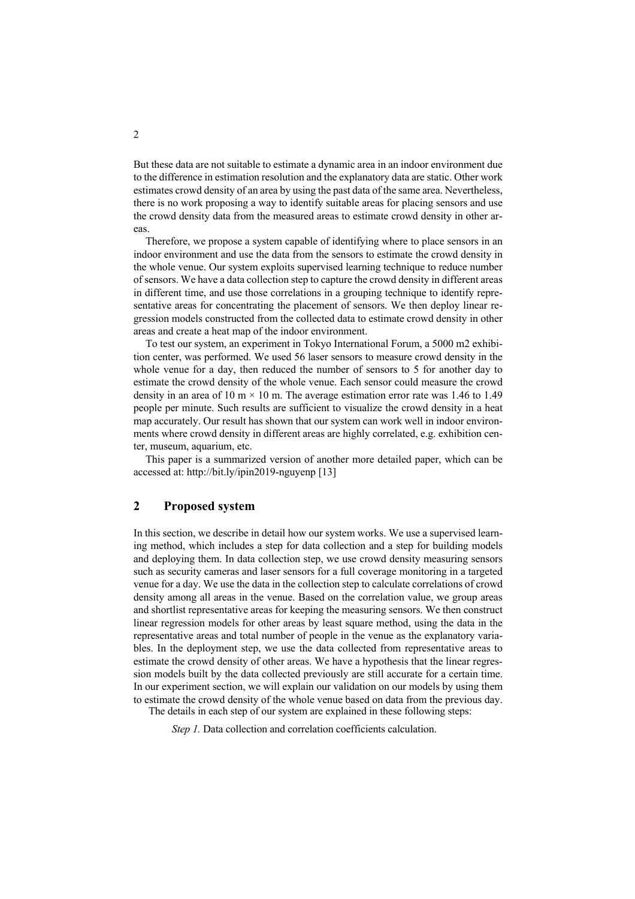But these data are not suitable to estimate a dynamic area in an indoor environment due to the difference in estimation resolution and the explanatory data are static. Other work estimates crowd density of an area by using the past data of the same area. Nevertheless, there is no work proposing a way to identify suitable areas for placing sensors and use the crowd density data from the measured areas to estimate crowd density in other areas.

Therefore, we propose a system capable of identifying where to place sensors in an indoor environment and use the data from the sensors to estimate the crowd density in the whole venue. Our system exploits supervised learning technique to reduce number of sensors. We have a data collection step to capture the crowd density in different areas in different time, and use those correlations in a grouping technique to identify representative areas for concentrating the placement of sensors. We then deploy linear regression models constructed from the collected data to estimate crowd density in other areas and create a heat map of the indoor environment.

To test our system, an experiment in Tokyo International Forum, a 5000 m2 exhibition center, was performed. We used 56 laser sensors to measure crowd density in the whole venue for a day, then reduced the number of sensors to 5 for another day to estimate the crowd density of the whole venue. Each sensor could measure the crowd density in an area of 10 m  $\times$  10 m. The average estimation error rate was 1.46 to 1.49 people per minute. Such results are sufficient to visualize the crowd density in a heat map accurately. Our result has shown that our system can work well in indoor environments where crowd density in different areas are highly correlated, e.g. exhibition center, museum, aquarium, etc.

This paper is a summarized version of another more detailed paper, which can be accessed at: http://bit.ly/ipin2019-nguyenp [13]

## **2 Proposed system**

In this section, we describe in detail how our system works. We use a supervised learning method, which includes a step for data collection and a step for building models and deploying them. In data collection step, we use crowd density measuring sensors such as security cameras and laser sensors for a full coverage monitoring in a targeted venue for a day. We use the data in the collection step to calculate correlations of crowd density among all areas in the venue. Based on the correlation value, we group areas and shortlist representative areas for keeping the measuring sensors. We then construct linear regression models for other areas by least square method, using the data in the representative areas and total number of people in the venue as the explanatory variables. In the deployment step, we use the data collected from representative areas to estimate the crowd density of other areas. We have a hypothesis that the linear regression models built by the data collected previously are still accurate for a certain time. In our experiment section, we will explain our validation on our models by using them to estimate the crowd density of the whole venue based on data from the previous day. The details in each step of our system are explained in these following steps:

*Step 1.* Data collection and correlation coefficients calculation.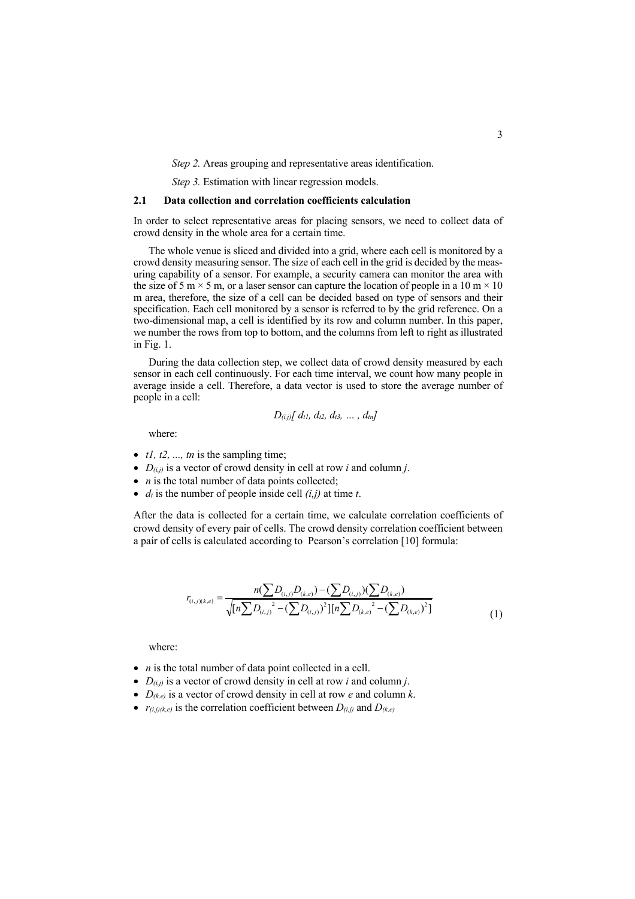*Step 2.* Areas grouping and representative areas identification.

*Step 3.* Estimation with linear regression models.

#### **2.1 Data collection and correlation coefficients calculation**

In order to select representative areas for placing sensors, we need to collect data of crowd density in the whole area for a certain time.

The whole venue is sliced and divided into a grid, where each cell is monitored by a crowd density measuring sensor. The size of each cell in the grid is decided by the measuring capability of a sensor. For example, a security camera can monitor the area with the size of 5 m  $\times$  5 m, or a laser sensor can capture the location of people in a 10 m  $\times$  10 m area, therefore, the size of a cell can be decided based on type of sensors and their specification. Each cell monitored by a sensor is referred to by the grid reference. On a two-dimensional map, a cell is identified by its row and column number. In this paper, we number the rows from top to bottom, and the columns from left to right as illustrated in Fig. 1.

During the data collection step, we collect data of crowd density measured by each sensor in each cell continuously. For each time interval, we count how many people in average inside a cell. Therefore, a data vector is used to store the average number of people in a cell:

$$
D_{(i,j)}[d_{t1}, d_{t2}, d_{t3}, ..., d_{tn}]
$$

where:

- $\bullet$  *t1, t2, ..., tn* is the sampling time;
- $D_{(i,j)}$  is a vector of crowd density in cell at row *i* and column *j*.
- *n* is the total number of data points collected;
- $d_t$  is the number of people inside cell  $(i, j)$  at time  $t$ .

After the data is collected for a certain time, we calculate correlation coefficients of crowd density of every pair of cells. The crowd density correlation coefficient between a pair of cells is calculated according to Pearson's correlation [10] formula:

$$
r_{(i,j)(k,e)} = \frac{n(\sum D_{(i,j)} D_{(k,e)}) - (\sum D_{(i,j)})(\sum D_{(k,e)})}{\sqrt{[n \sum D_{(i,j)}^2 - (\sum D_{(i,j)})^2][n \sum D_{(k,e)}^2 - (\sum D_{(k,e)})^2]}}
$$
(1)

where:

- *n* is the total number of data point collected in a cell.
- $D_{(i,j)}$  is a vector of crowd density in cell at row *i* and column *j*.
- $D_{(k,e)}$  is a vector of crowd density in cell at row *e* and column *k*.
- $r_{(i,j)(k,e)}$  is the correlation coefficient between  $D_{(i,j)}$  and  $D_{(k,e)}$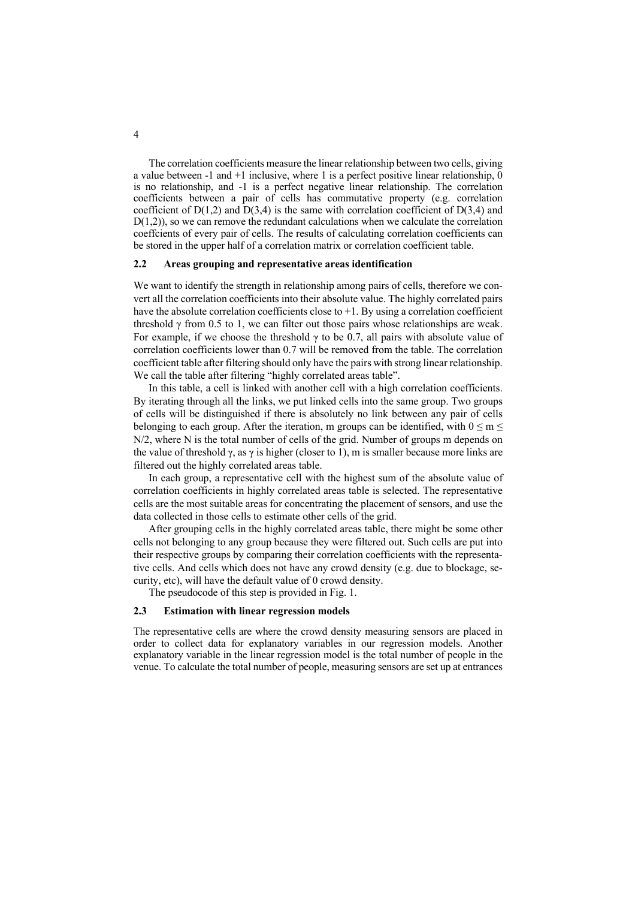The correlation coefficients measure the linear relationship between two cells, giving a value between -1 and +1 inclusive, where 1 is a perfect positive linear relationship,  $\overline{0}$ is no relationship, and -1 is a perfect negative linear relationship. The correlation coefficients between a pair of cells has commutative property (e.g. correlation coefficient of  $D(1,2)$  and  $D(3,4)$  is the same with correlation coefficient of  $D(3,4)$  and  $D(1,2)$ ), so we can remove the redundant calculations when we calculate the correlation coeffcients of every pair of cells. The results of calculating correlation coefficients can be stored in the upper half of a correlation matrix or correlation coefficient table.

#### **2.2 Areas grouping and representative areas identification**

We want to identify the strength in relationship among pairs of cells, therefore we convert all the correlation coefficients into their absolute value. The highly correlated pairs have the absolute correlation coefficients close to  $+1$ . By using a correlation coefficient threshold  $\gamma$  from 0.5 to 1, we can filter out those pairs whose relationships are weak. For example, if we choose the threshold  $\gamma$  to be 0.7, all pairs with absolute value of correlation coefficients lower than 0.7 will be removed from the table. The correlation coefficient table after filtering should only have the pairs with strong linear relationship. We call the table after filtering "highly correlated areas table".

In this table, a cell is linked with another cell with a high correlation coefficients. By iterating through all the links, we put linked cells into the same group. Two groups of cells will be distinguished if there is absolutely no link between any pair of cells belonging to each group. After the iteration, m groups can be identified, with  $0 \le m \le$ N/2, where N is the total number of cells of the grid. Number of groups m depends on the value of threshold  $\gamma$ , as  $\gamma$  is higher (closer to 1), m is smaller because more links are filtered out the highly correlated areas table.

In each group, a representative cell with the highest sum of the absolute value of correlation coefficients in highly correlated areas table is selected. The representative cells are the most suitable areas for concentrating the placement of sensors, and use the data collected in those cells to estimate other cells of the grid.

After grouping cells in the highly correlated areas table, there might be some other cells not belonging to any group because they were filtered out. Such cells are put into their respective groups by comparing their correlation coefficients with the representative cells. And cells which does not have any crowd density (e.g. due to blockage, security, etc), will have the default value of 0 crowd density.

The pseudocode of this step is provided in Fig. 1.

#### **2.3 Estimation with linear regression models**

The representative cells are where the crowd density measuring sensors are placed in order to collect data for explanatory variables in our regression models. Another explanatory variable in the linear regression model is the total number of people in the venue. To calculate the total number of people, measuring sensors are set up at entrances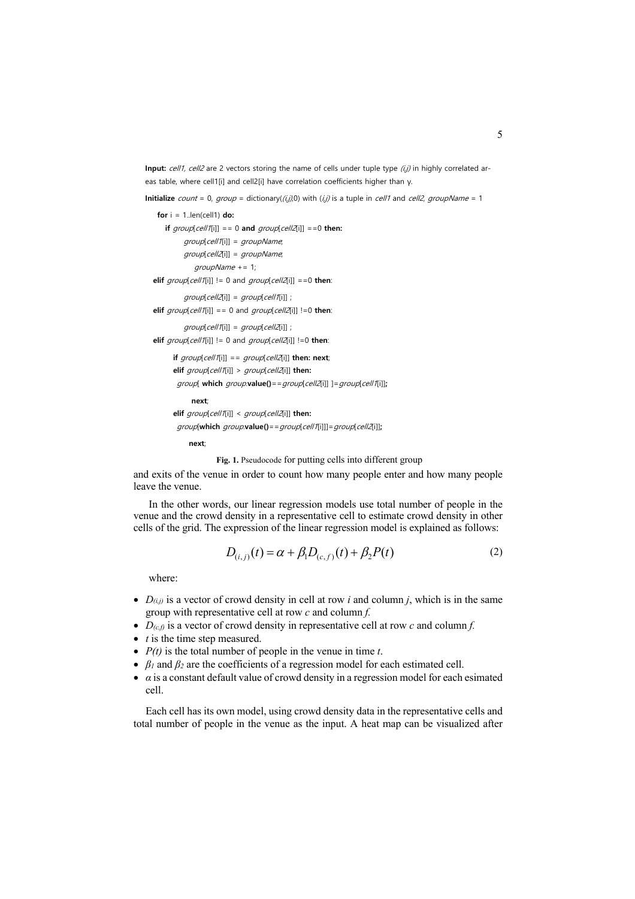**Input:** cell1, cell2 are 2 vectors storing the name of cells under tuple type (i,j) in highly correlated areas table, where cell1[i] and cell2[i] have correlation coefficients higher than γ.

**Initialize** count = 0, group = dictionary( $(i, j)$ ,0) with  $(i, j)$  is a tuple in cell1 and cell2, groupName = 1

```
for i = 1..len(cell1) do:
    if group[cell1[i]] == 0 and group[cell2[i]] == 0 then:
          group[cell1[i]] = groupName;
          group[cell2[i]] = groupName;
            groupName += 1;elif group[cell1[i]] := 0 and group[cell2[i]] == 0 then:
         group[cellZ[i]] = group[cellI[i]];
elif group[cell1[i]] == 0 and group[cell2[i]] != 0 then:
         group[cell1[i]] = group[cell2[i]];
elif group[cell1[i]] := 0 and group[cell2[i]] := 0 then:
      if group[cell1[i]] == group[cell2[i]] then: next;
       elif group[cell1[i]] > group[cell2[i]] then:
        group[ which group.value()==group[cell2[i]] ]=group[cell1[i]];
             next;
       elif group[cell1[i]] < group[cell2[i]] then:
        group[which group.value()==group[cell1[i]]]=group[cell2[i]];
            next;
```
**Fig. 1.** Pseudocode for putting cells into different group

and exits of the venue in order to count how many people enter and how many people leave the venue.

In the other words, our linear regression models use total number of people in the venue and the crowd density in a representative cell to estimate crowd density in other cells of the grid. The expression of the linear regression model is explained as follows:

$$
D_{(i,j)}(t) = \alpha + \beta_1 D_{(c,f)}(t) + \beta_2 P(t)
$$
 (2)

where:

- $D_{(i,j)}$  is a vector of crowd density in cell at row *i* and column *j*, which is in the same group with representative cell at row *c* and column *f.*
- $D_{(c,f)}$  is a vector of crowd density in representative cell at row *c* and column *f*.
- *t* is the time step measured.
- *P(t)* is the total number of people in the venue in time *t*.
- $\beta_1$  and  $\beta_2$  are the coefficients of a regression model for each estimated cell.
- $\bullet$  *a* is a constant default value of crowd density in a regression model for each esimated cell.

Each cell has its own model, using crowd density data in the representative cells and total number of people in the venue as the input. A heat map can be visualized after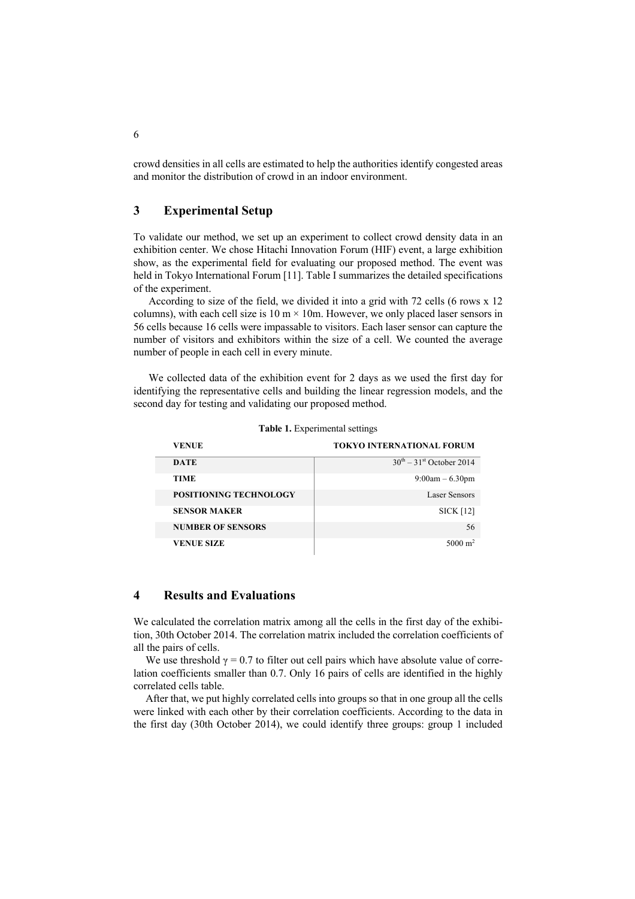crowd densities in all cells are estimated to help the authorities identify congested areas and monitor the distribution of crowd in an indoor environment.

# **3 Experimental Setup**

To validate our method, we set up an experiment to collect crowd density data in an exhibition center. We chose Hitachi Innovation Forum (HIF) event, a large exhibition show, as the experimental field for evaluating our proposed method. The event was held in Tokyo International Forum [11]. Table I summarizes the detailed specifications of the experiment.

According to size of the field, we divided it into a grid with 72 cells (6 rows x 12 columns), with each cell size is  $10 \text{ m} \times 10 \text{ m}$ . However, we only placed laser sensors in 56 cells because 16 cells were impassable to visitors. Each laser sensor can capture the number of visitors and exhibitors within the size of a cell. We counted the average number of people in each cell in every minute.

We collected data of the exhibition event for 2 days as we used the first day for identifying the representative cells and building the linear regression models, and the second day for testing and validating our proposed method.

| VENUE                         | <b>TOKYO INTERNATIONAL FORUM</b> |
|-------------------------------|----------------------------------|
| <b>DATE</b>                   | $30th - 31st$ October 2014       |
| <b>TIME</b>                   | $9:00am - 6.30pm$                |
| <b>POSITIONING TECHNOLOGY</b> | Laser Sensors                    |
| <b>SENSOR MAKER</b>           | <b>SICK</b> [12]                 |
| <b>NUMBER OF SENSORS</b>      | 56                               |
| <b>VENUE SIZE</b>             | $5000 \text{ m}^2$               |

**Table 1.** Experimental settings

## **4 Results and Evaluations**

We calculated the correlation matrix among all the cells in the first day of the exhibition, 30th October 2014. The correlation matrix included the correlation coefficients of all the pairs of cells.

We use threshold  $\gamma = 0.7$  to filter out cell pairs which have absolute value of correlation coefficients smaller than 0.7. Only 16 pairs of cells are identified in the highly correlated cells table.

After that, we put highly correlated cells into groups so that in one group all the cells were linked with each other by their correlation coefficients. According to the data in the first day (30th October 2014), we could identify three groups: group 1 included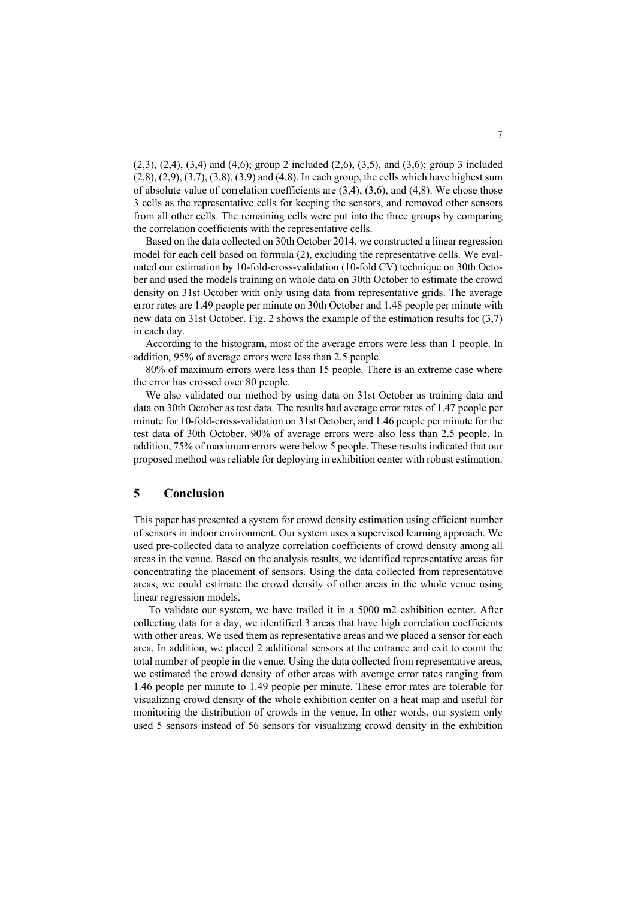(2,3), (2,4), (3,4) and (4,6); group 2 included (2,6), (3,5), and (3,6); group 3 included  $(2,8)$ ,  $(2,9)$ ,  $(3,7)$ ,  $(3,8)$ ,  $(3,9)$  and  $(4,8)$ . In each group, the cells which have highest sum of absolute value of correlation coefficients are  $(3,4)$ ,  $(3,6)$ , and  $(4,8)$ . We chose those 3 cells as the representative cells for keeping the sensors, and removed other sensors from all other cells. The remaining cells were put into the three groups by comparing the correlation coefficients with the representative cells.

Based on the data collected on 30th October 2014, we constructed a linear regression model for each cell based on formula (2), excluding the representative cells. We evaluated our estimation by 10-fold-cross-validation (10-fold CV) technique on 30th October and used the models training on whole data on 30th October to estimate the crowd density on 31st October with only using data from representative grids. The average error rates are 1.49 people per minute on 30th October and 1.48 people per minute with new data on 31st October. Fig. 2 shows the example of the estimation results for (3,7) in each day.

According to the histogram, most of the average errors were less than 1 people. In addition, 95% of average errors were less than 2.5 people.

80% of maximum errors were less than 15 people. There is an extreme case where the error has crossed over 80 people.

We also validated our method by using data on 31st October as training data and data on 30th October as test data. The results had average error rates of 1.47 people per minute for 10-fold-cross-validation on 31st October, and 1.46 people per minute for the test data of 30th October. 90% of average errors were also less than 2.5 people. In addition, 75% of maximum errors were below 5 people. These results indicated that our proposed method was reliable for deploying in exhibition center with robust estimation.

## **5 Conclusion**

This paper has presented a system for crowd density estimation using efficient number of sensors in indoor environment. Our system uses a supervised learning approach. We used pre-collected data to analyze correlation coefficients of crowd density among all areas in the venue. Based on the analysis results, we identified representative areas for concentrating the placement of sensors. Using the data collected from representative areas, we could estimate the crowd density of other areas in the whole venue using linear regression models.

To validate our system, we have trailed it in a 5000 m2 exhibition center. After collecting data for a day, we identified 3 areas that have high correlation coefficients with other areas. We used them as representative areas and we placed a sensor for each area. In addition, we placed 2 additional sensors at the entrance and exit to count the total number of people in the venue. Using the data collected from representative areas, we estimated the crowd density of other areas with average error rates ranging from 1.46 people per minute to 1.49 people per minute. These error rates are tolerable for visualizing crowd density of the whole exhibition center on a heat map and useful for monitoring the distribution of crowds in the venue. In other words, our system only used 5 sensors instead of 56 sensors for visualizing crowd density in the exhibition